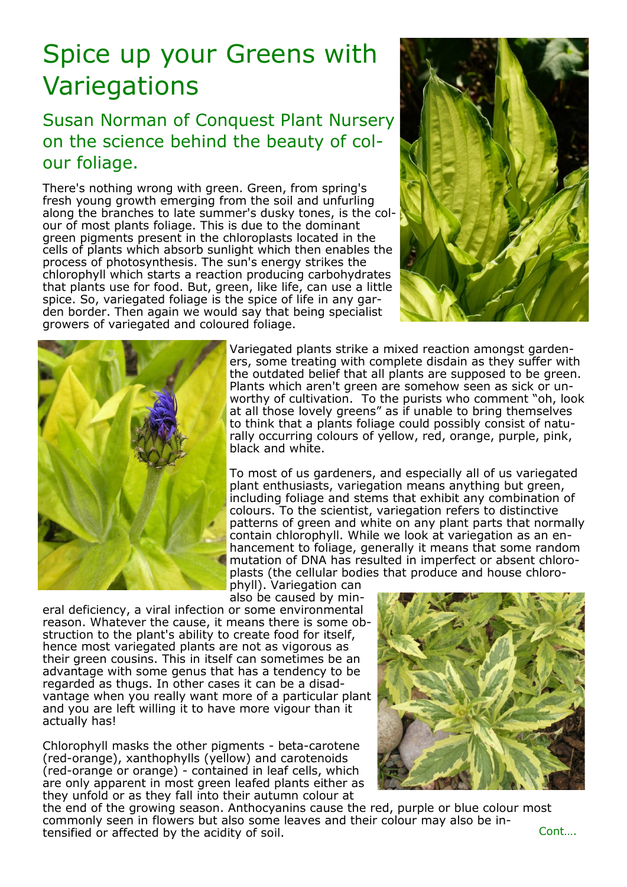## Spice up your Greens with **Variegations**

## Susan Norman of Conquest Plant Nursery on the science behind the beauty of colour foliage.

There's nothing wrong with green. Green, from spring's fresh young growth emerging from the soil and unfurling along the branches to late summer's dusky tones, is the colour of most plants foliage. This is due to the dominant green pigments present in the chloroplasts located in the cells of plants which absorb sunlight which then enables the process of photosynthesis. The sun's energy strikes the chlorophyll which starts a reaction producing carbohydrates that plants use for food. But, green, like life, can use a little spice. So, variegated foliage is the spice of life in any garden border. Then again we would say that being specialist growers of variegated and coloured foliage.





Variegated plants strike a mixed reaction amongst gardeners, some treating with complete disdain as they suffer with the outdated belief that all plants are supposed to be green. Plants which aren't green are somehow seen as sick or unworthy of cultivation. To the purists who comment "oh, look at all those lovely greens" as if unable to bring themselves to think that a plants foliage could possibly consist of naturally occurring colours of yellow, red, orange, purple, pink, black and white.

To most of us gardeners, and especially all of us variegated plant enthusiasts, variegation means anything but green, including foliage and stems that exhibit any combination of colours. To the scientist, variegation refers to distinctive patterns of green and white on any plant parts that normally contain chlorophyll. While we look at variegation as an enhancement to foliage, generally it means that some random mutation of DNA has resulted in imperfect or absent chloroplasts (the cellular bodies that produce and house chlorophyll). Variegation can

also be caused by min-

eral deficiency, a viral infection or some environmental reason. Whatever the cause, it means there is some obstruction to the plant's ability to create food for itself, hence most variegated plants are not as vigorous as their green cousins. This in itself can sometimes be an advantage with some genus that has a tendency to be regarded as thugs. In other cases it can be a disadvantage when you really want more of a particular plant and you are left willing it to have more vigour than it actually has!

Chlorophyll masks the other pigments - beta-carotene (red-orange), xanthophylls (yellow) and carotenoids (red-orange or orange) - contained in leaf cells, which are only apparent in most green leafed plants either as they unfold or as they fall into their autumn colour at

the end of the growing season. Anthocyanins cause the red, purple or blue colour most commonly seen in flowers but also some leaves and their colour may also be intensified or affected by the acidity of soil. The context of the cont….

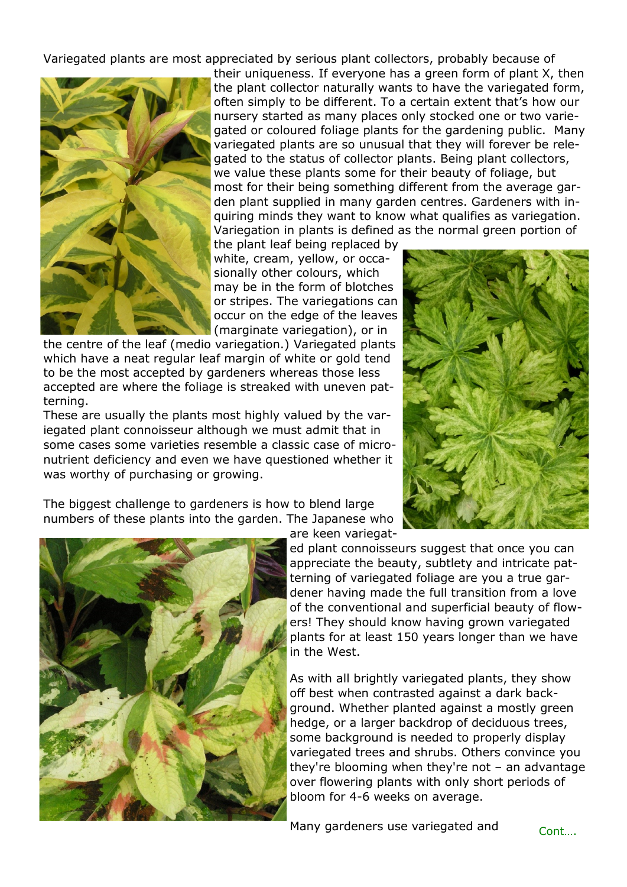Variegated plants are most appreciated by serious plant collectors, probably because of



their uniqueness. If everyone has a green form of plant X, then the plant collector naturally wants to have the variegated form, often simply to be different. To a certain extent that's how our nursery started as many places only stocked one or two variegated or coloured foliage plants for the gardening public. Many variegated plants are so unusual that they will forever be relegated to the status of collector plants. Being plant collectors, we value these plants some for their beauty of foliage, but most for their being something different from the average garden plant supplied in many garden centres. Gardeners with inquiring minds they want to know what qualifies as variegation. Variegation in plants is defined as the normal green portion of

the plant leaf being replaced by white, cream, yellow, or occasionally other colours, which may be in the form of blotches or stripes. The variegations can occur on the edge of the leaves (marginate variegation), or in

the centre of the leaf (medio variegation.) Variegated plants which have a neat regular leaf margin of white or gold tend to be the most accepted by gardeners whereas those less accepted are where the foliage is streaked with uneven patterning.

These are usually the plants most highly valued by the variegated plant connoisseur although we must admit that in some cases some varieties resemble a classic case of micronutrient deficiency and even we have questioned whether it was worthy of purchasing or growing.

The biggest challenge to gardeners is how to blend large numbers of these plants into the garden. The Japanese who





are keen variegat-

ed plant connoisseurs suggest that once you can appreciate the beauty, subtlety and intricate patterning of variegated foliage are you a true gardener having made the full transition from a love of the conventional and superficial beauty of flowers! They should know having grown variegated plants for at least 150 years longer than we have in the West.

As with all brightly variegated plants, they show off best when contrasted against a dark background. Whether planted against a mostly green hedge, or a larger backdrop of deciduous trees, some background is needed to properly display variegated trees and shrubs. Others convince you they're blooming when they're not – an advantage over flowering plants with only short periods of bloom for 4-6 weeks on average.

Many gardeners use variegated and Cont...